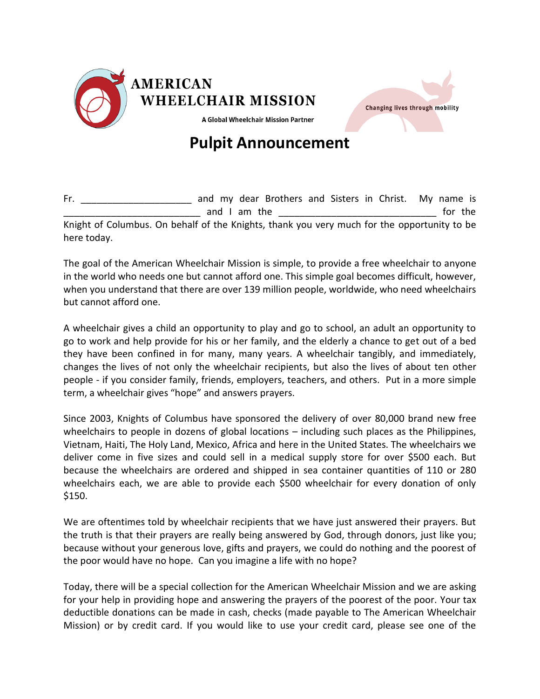



**Pulpit Announcement**

Fr. The same and my dear Brothers and Sisters in Christ. My name is and I am the **EXECUTE 1** and I am the **League 1** and  $\frac{1}{2}$  and  $\frac{1}{2}$  and  $\frac{1}{2}$  and  $\frac{1}{2}$  and  $\frac{1}{2}$  and  $\frac{1}{2}$  and  $\frac{1}{2}$  and  $\frac{1}{2}$  and  $\frac{1}{2}$  and  $\frac{1}{2}$  and  $\frac{1}{2}$  and  $\frac{1}{2}$  and Knight of Columbus. On behalf of the Knights, thank you very much for the opportunity to be here today.

The goal of the American Wheelchair Mission is simple, to provide a free wheelchair to anyone in the world who needs one but cannot afford one. This simple goal becomes difficult, however, when you understand that there are over 139 million people, worldwide, who need wheelchairs but cannot afford one.

A wheelchair gives a child an opportunity to play and go to school, an adult an opportunity to go to work and help provide for his or her family, and the elderly a chance to get out of a bed they have been confined in for many, many years. A wheelchair tangibly, and immediately, changes the lives of not only the wheelchair recipients, but also the lives of about ten other people - if you consider family, friends, employers, teachers, and others. Put in a more simple term, a wheelchair gives "hope" and answers prayers.

Since 2003, Knights of Columbus have sponsored the delivery of over 80,000 brand new free wheelchairs to people in dozens of global locations – including such places as the Philippines, Vietnam, Haiti, The Holy Land, Mexico, Africa and here in the United States. The wheelchairs we deliver come in five sizes and could sell in a medical supply store for over \$500 each. But because the wheelchairs are ordered and shipped in sea container quantities of 110 or 280 wheelchairs each, we are able to provide each \$500 wheelchair for every donation of only \$150.

We are oftentimes told by wheelchair recipients that we have just answered their prayers. But the truth is that their prayers are really being answered by God, through donors, just like you; because without your generous love, gifts and prayers, we could do nothing and the poorest of the poor would have no hope. Can you imagine a life with no hope?

Today, there will be a special collection for the American Wheelchair Mission and we are asking for your help in providing hope and answering the prayers of the poorest of the poor. Your tax deductible donations can be made in cash, checks (made payable to The American Wheelchair Mission) or by credit card. If you would like to use your credit card, please see one of the